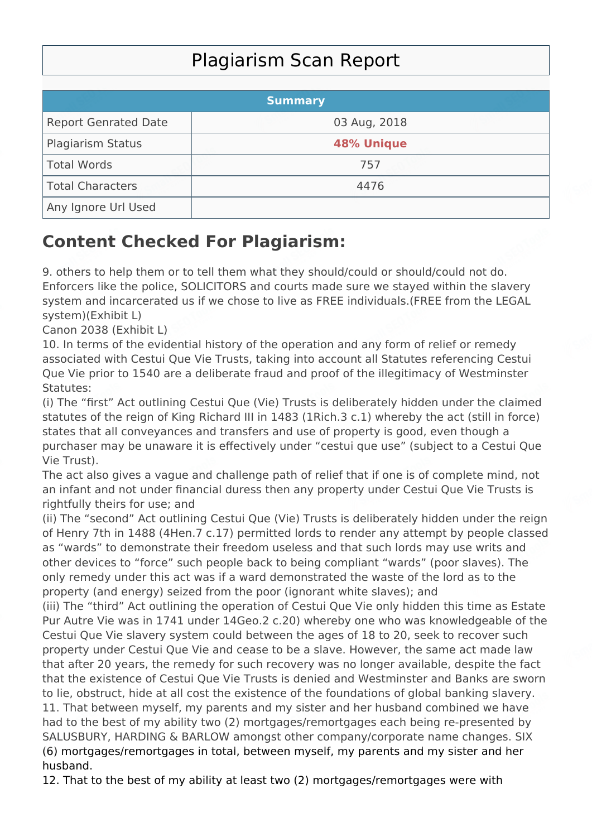## Plagiarism Scan Report

|                             | <b>Summary</b>    |  |
|-----------------------------|-------------------|--|
| <b>Report Genrated Date</b> | 03 Aug, 2018      |  |
| <b>Plagiarism Status</b>    | <b>48% Unique</b> |  |
| Total Words                 | 757               |  |
| Total Characters            | 4476              |  |
| Any Ignore Url Used         |                   |  |

## **Content Checked For Plagiarism:**

9. others to help them or to tell them what they should/could or should/could not do. Enforcers like the police, SOLICITORS and courts made sure we stayed within the slavery system and incarcerated us if we chose to live as FREE individuals.(FREE from the LEGAL system)(Exhibit L)

Canon 2038 (Exhibit L)

10. In terms of the evidential history of the operation and any form of relief or remedy associated with Cestui Que Vie Trusts, taking into account all Statutes referencing Cestui Que Vie prior to 1540 are a deliberate fraud and proof of the illegitimacy of Westminster Statutes:

(i) The "first" Act outlining Cestui Que (Vie) Trusts is deliberately hidden under the claimed statutes of the reign of King Richard III in 1483 (1Rich.3 c.1) whereby the act (still in force) states that all conveyances and transfers and use of property is good, even though a purchaser may be unaware it is effectively under "cestui que use" (subject to a Cestui Que Vie Trust).

The act also gives a vague and challenge path of relief that if one is of complete mind, not an infant and not under financial duress then any property under Cestui Que Vie Trusts is rightfully theirs for use; and

(ii) The "second" Act outlining Cestui Que (Vie) Trusts is deliberately hidden under the reign of Henry 7th in 1488 (4Hen.7 c.17) permitted lords to render any attempt by people classed as "wards" to demonstrate their freedom useless and that such lords may use writs and other devices to "force" such people back to being compliant "wards" (poor slaves). The only remedy under this act was if a ward demonstrated the waste of the lord as to the property (and energy) seized from the poor (ignorant white slaves); and

(iii) The "third" Act outlining the operation of Cestui Que Vie only hidden this time as Estate Pur Autre Vie was in 1741 under 14Geo.2 c.20) whereby one who was knowledgeable of the Cestui Que Vie slavery system could between the ages of 18 to 20, seek to recover such property under Cestui Que Vie and cease to be a slave. However, the same act made law that after 20 years, the remedy for such recovery was no longer available, despite the fact that the existence of Cestui Que Vie Trusts is denied and Westminster and Banks are sworn to lie, obstruct, hide at all cost the existence of the foundations of global banking slavery. 11. That between myself, my parents and my sister and her husband combined we have had to the best of my ability two (2) mortgages/remortgages each being re-presented by SALUSBURY, HARDING & BARLOW amongst other company/corporate name changes. SIX (6) mortgages/remortgages in total, between myself, my parents and my sister and her husband.

12. That to the best of my ability at least two (2) mortgages/remortgages were with